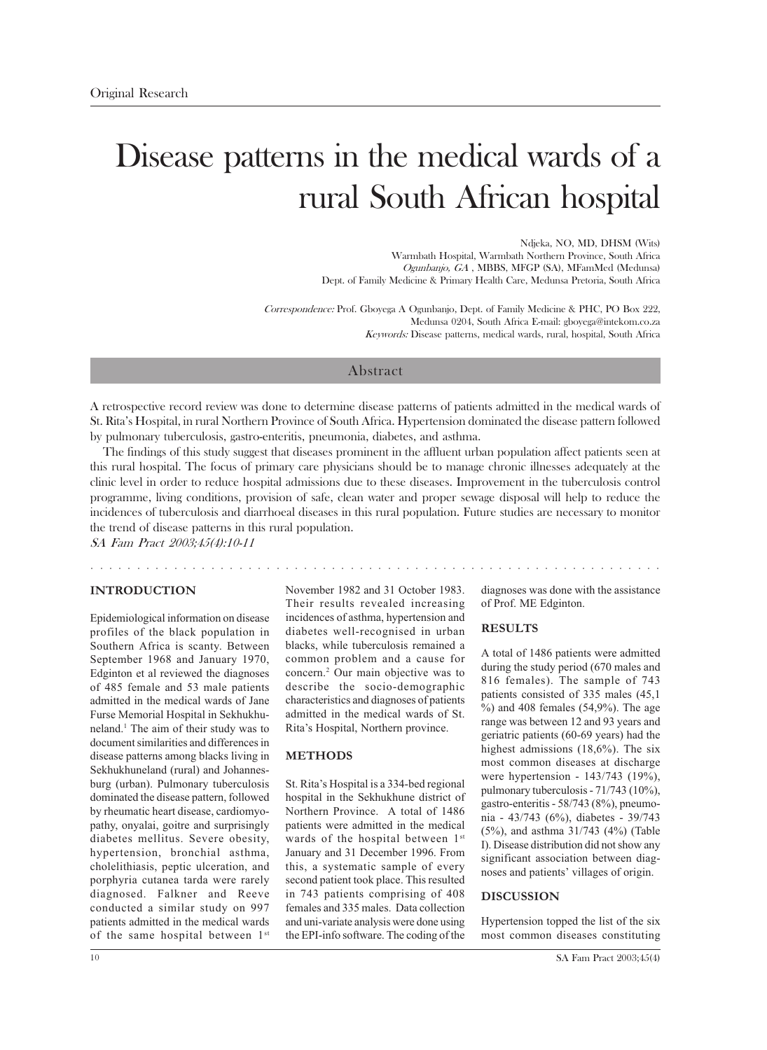# Disease patterns in the medical wards of a rural South African hospital

Ndjeka, NO, MD, DHSM (Wits) Warmbath Hospital, Warmbath Northern Province, South Africa Ogunbanjo, GA, MBBS, MFGP (SA), MFamMed (Medunsa) Dept. of Family Medicine & Primary Health Care, Medunsa Pretoria, South Africa

Correspondence: Prof. Gboyega A Ogunbanjo, Dept. of Family Medicine & PHC, PO Box 222, Medunsa 0204, South Africa E-mail: gboyega@intekom.co.za Keywords: Disease patterns, medical wards, rural, hospital, South Africa

## Abstract

A retrospective record review was done to determine disease patterns of patients admitted in the medical wards of St. Rita's Hospital, in rural Northern Province of South Africa. Hypertension dominated the disease pattern followed by pulmonary tuberculosis, gastro-enteritis, pneumonia, diabetes, and asthma.

The findings of this study suggest that diseases prominent in the affluent urban population affect patients seen at this rural hospital. The focus of primary care physicians should be to manage chronic illnesses adequately at the clinic level in order to reduce hospital admissions due to these diseases. Improvement in the tuberculosis control programme, living conditions, provision of safe, clean water and proper sewage disposal will help to reduce the incidences of tuberculosis and diarrhoeal diseases in this rural population. Future studies are necessary to monitor the trend of disease patterns in this rural population.

SA Fam Pract 2003;45(4):10-11

#### **INTRODUCTION**

Epidemiological information on disease profiles of the black population in Southern Africa is scanty. Between September 1968 and January 1970, Edginton et al reviewed the diagnoses of 485 female and 53 male patients admitted in the medical wards of Jane Furse Memorial Hospital in Sekhukhuneland.<sup>1</sup> The aim of their study was to document similarities and differences in disease patterns among blacks living in Sekhukhuneland (rural) and Johannesburg (urban). Pulmonary tuberculosis dominated the disease pattern, followed by rheumatic heart disease, cardiomyopathy, onyalai, goitre and surprisingly diabetes mellitus. Severe obesity, hypertension, bronchial asthma, cholelithiasis, peptic ulceration, and porphyria cutanea tarda were rarely diagnosed. Falkner and Reeve conducted a similar study on 997 patients admitted in the medical wards of the same hospital between 1st

November 1982 and 31 October 1983 Their results revealed increasing incidences of asthma, hypertension and diabetes well-recognised in urban blacks, while tuberculosis remained a common problem and a cause for concern.<sup>2</sup> Our main objective was to describe the socio-demographic characteristics and diagnoses of patients admitted in the medical wards of St. Rita's Hospital, Northern province.

#### **METHODS**

and a series of the series

St. Rita's Hospital is a 334-bed regional hospital in the Sekhukhune district of Northern Province. A total of 1486 patients were admitted in the medical wards of the hospital between 1st January and 31 December 1996. From this, a systematic sample of every second patient took place. This resulted in 743 patients comprising of 408 females and 335 males. Data collection and uni-variate analysis were done using the EPI-info software. The coding of the

diagnoses was done with the assistance of Prof. ME Edginton.

and the contract of the contract of the

#### **RESULTS**

A total of 1486 patients were admitted during the study period (670 males and 816 females). The sample of 743 patients consisted of 335 males (45,1)  $\%$ ) and 408 females (54,9%). The age range was between 12 and 93 years and geriatric patients (60-69 years) had the highest admissions  $(18,6\%)$ . The six most common diseases at discharge were hypertension - 143/743 (19%), pulmonary tuberculosis - 71/743 (10%), gastro-enteritis - 58/743 (8%), pneumonia - 43/743 (6%), diabetes - 39/743  $(5\%)$ , and asthma 31/743  $(4\%)$  (Table I). Disease distribution did not show any significant association between diagnoses and patients' villages of origin.

#### **DISCUSSION**

Hypertension topped the list of the six most common diseases constituting